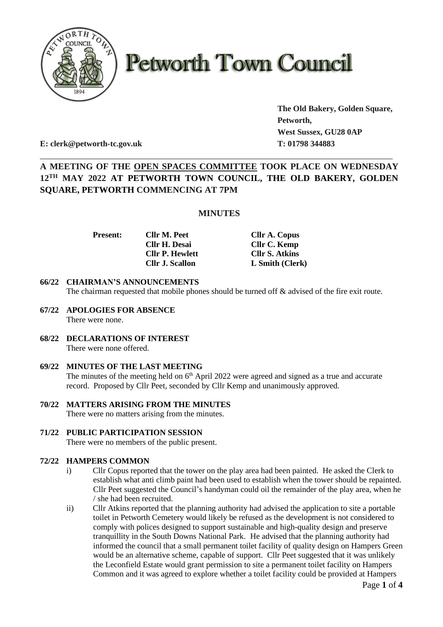

# **Petworth Town Council**

**The Old Bakery, Golden Square, Petworth, West Sussex, GU28 0AP**

**E: clerk@petworth-tc.gov.uk T: 01798 344883**

# **A MEETING OF THE OPEN SPACES COMMITTEE TOOK PLACE ON WEDNESDAY 12TH MAY 2022 AT PETWORTH TOWN COUNCIL, THE OLD BAKERY, GOLDEN SQUARE, PETWORTH COMMENCING AT 7PM**

\_\_\_\_\_\_\_\_\_\_\_\_\_\_\_\_\_\_\_\_\_\_\_\_\_\_\_\_\_\_\_\_\_\_\_\_\_\_\_\_\_\_\_\_\_\_\_\_\_\_\_\_\_\_\_\_\_\_\_\_\_\_\_\_\_\_\_\_\_\_\_\_\_\_\_\_\_\_\_

### **MINUTES**

**Cllr H. Desai Cllr C. Kemp Cllr P. Hewlett Cllr S. Atkins**

**Present: Cllr M. Peet Cllr A. Copus Cllr J. Scallon L Smith (Clerk)**

#### **66/22 CHAIRMAN'S ANNOUNCEMENTS**

The chairman requested that mobile phones should be turned off  $\&$  advised of the fire exit route.

- **67/22 APOLOGIES FOR ABSENCE** There were none.
- **68/22 DECLARATIONS OF INTEREST** There were none offered.

#### **69/22 MINUTES OF THE LAST MEETING**

The minutes of the meeting held on  $6<sup>th</sup>$  April 2022 were agreed and signed as a true and accurate record. Proposed by Cllr Peet, seconded by Cllr Kemp and unanimously approved.

- **70/22 MATTERS ARISING FROM THE MINUTES** There were no matters arising from the minutes.
- **71/22 PUBLIC PARTICIPATION SESSION**

There were no members of the public present.

#### **72/22 HAMPERS COMMON**

- i) Cllr Copus reported that the tower on the play area had been painted. He asked the Clerk to establish what anti climb paint had been used to establish when the tower should be repainted. Cllr Peet suggested the Council's handyman could oil the remainder of the play area, when he / she had been recruited.
- ii) Cllr Atkins reported that the planning authority had advised the application to site a portable toilet in Petworth Cemetery would likely be refused as the development is not considered to comply with polices designed to support sustainable and high-quality design and preserve tranquillity in the South Downs National Park. He advised that the planning authority had informed the council that a small permanent toilet facility of quality design on Hampers Green would be an alternative scheme, capable of support. Cllr Peet suggested that it was unlikely the Leconfield Estate would grant permission to site a permanent toilet facility on Hampers Common and it was agreed to explore whether a toilet facility could be provided at Hampers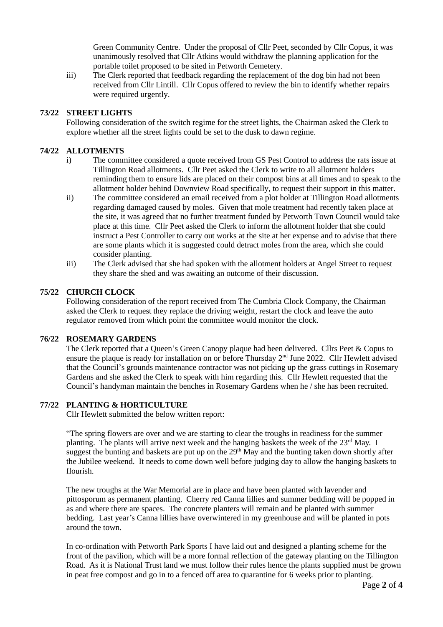Green Community Centre. Under the proposal of Cllr Peet, seconded by Cllr Copus, it was unanimously resolved that Cllr Atkins would withdraw the planning application for the portable toilet proposed to be sited in Petworth Cemetery.

iii) The Clerk reported that feedback regarding the replacement of the dog bin had not been received from Cllr Lintill. Cllr Copus offered to review the bin to identify whether repairs were required urgently.

#### **73/22 STREET LIGHTS**

Following consideration of the switch regime for the street lights, the Chairman asked the Clerk to explore whether all the street lights could be set to the dusk to dawn regime.

#### **74/22 ALLOTMENTS**

- i) The committee considered a quote received from GS Pest Control to address the rats issue at Tillington Road allotments. Cllr Peet asked the Clerk to write to all allotment holders reminding them to ensure lids are placed on their compost bins at all times and to speak to the allotment holder behind Downview Road specifically, to request their support in this matter.
- ii) The committee considered an email received from a plot holder at Tillington Road allotments regarding damaged caused by moles. Given that mole treatment had recently taken place at the site, it was agreed that no further treatment funded by Petworth Town Council would take place at this time. Cllr Peet asked the Clerk to inform the allotment holder that she could instruct a Pest Controller to carry out works at the site at her expense and to advise that there are some plants which it is suggested could detract moles from the area, which she could consider planting.
- iii) The Clerk advised that she had spoken with the allotment holders at Angel Street to request they share the shed and was awaiting an outcome of their discussion.

#### **75/22 CHURCH CLOCK**

Following consideration of the report received from The Cumbria Clock Company, the Chairman asked the Clerk to request they replace the driving weight, restart the clock and leave the auto regulator removed from which point the committee would monitor the clock.

#### **76/22 ROSEMARY GARDENS**

The Clerk reported that a Queen's Green Canopy plaque had been delivered. Cllrs Peet & Copus to ensure the plaque is ready for installation on or before Thursday 2<sup>nd</sup> June 2022. Cllr Hewlett advised that the Council's grounds maintenance contractor was not picking up the grass cuttings in Rosemary Gardens and she asked the Clerk to speak with him regarding this. Cllr Hewlett requested that the Council's handyman maintain the benches in Rosemary Gardens when he / she has been recruited.

#### **77/22 PLANTING & HORTICULTURE**

Cllr Hewlett submitted the below written report:

"The spring flowers are over and we are starting to clear the troughs in readiness for the summer planting. The plants will arrive next week and the hanging baskets the week of the  $23<sup>rd</sup>$  May. I suggest the bunting and baskets are put up on the 29<sup>th</sup> May and the bunting taken down shortly after the Jubilee weekend. It needs to come down well before judging day to allow the hanging baskets to flourish.

The new troughs at the War Memorial are in place and have been planted with lavender and pittosporum as permanent planting. Cherry red Canna lillies and summer bedding will be popped in as and where there are spaces. The concrete planters will remain and be planted with summer bedding. Last year's Canna lillies have overwintered in my greenhouse and will be planted in pots around the town.

In co-ordination with Petworth Park Sports I have laid out and designed a planting scheme for the front of the pavilion, which will be a more formal reflection of the gateway planting on the Tillington Road. As it is National Trust land we must follow their rules hence the plants supplied must be grown in peat free compost and go in to a fenced off area to quarantine for 6 weeks prior to planting.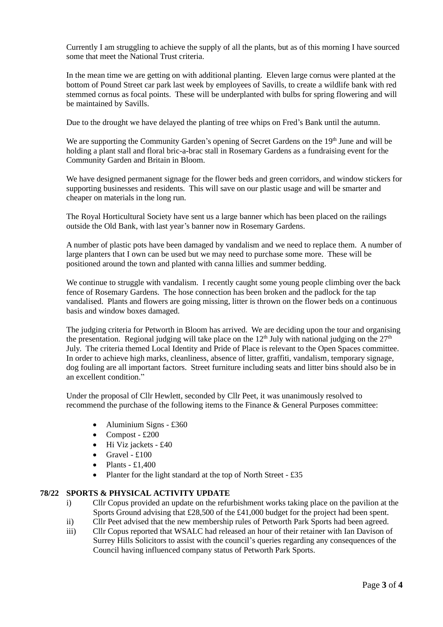Currently I am struggling to achieve the supply of all the plants, but as of this morning I have sourced some that meet the National Trust criteria.

In the mean time we are getting on with additional planting. Eleven large cornus were planted at the bottom of Pound Street car park last week by employees of Savills, to create a wildlife bank with red stemmed cornus as focal points. These will be underplanted with bulbs for spring flowering and will be maintained by Savills.

Due to the drought we have delayed the planting of tree whips on Fred's Bank until the autumn.

We are supporting the Community Garden's opening of Secret Gardens on the 19<sup>th</sup> June and will be holding a plant stall and floral bric-a-brac stall in Rosemary Gardens as a fundraising event for the Community Garden and Britain in Bloom.

We have designed permanent signage for the flower beds and green corridors, and window stickers for supporting businesses and residents. This will save on our plastic usage and will be smarter and cheaper on materials in the long run.

The Royal Horticultural Society have sent us a large banner which has been placed on the railings outside the Old Bank, with last year's banner now in Rosemary Gardens.

A number of plastic pots have been damaged by vandalism and we need to replace them. A number of large planters that I own can be used but we may need to purchase some more. These will be positioned around the town and planted with canna lillies and summer bedding.

We continue to struggle with vandalism. I recently caught some young people climbing over the back fence of Rosemary Gardens. The hose connection has been broken and the padlock for the tap vandalised. Plants and flowers are going missing, litter is thrown on the flower beds on a continuous basis and window boxes damaged.

The judging criteria for Petworth in Bloom has arrived. We are deciding upon the tour and organising the presentation. Regional judging will take place on the  $12<sup>th</sup>$  July with national judging on the  $27<sup>th</sup>$ July. The criteria themed Local Identity and Pride of Place is relevant to the Open Spaces committee. In order to achieve high marks, cleanliness, absence of litter, graffiti, vandalism, temporary signage, dog fouling are all important factors. Street furniture including seats and litter bins should also be in an excellent condition."

Under the proposal of Cllr Hewlett, seconded by Cllr Peet, it was unanimously resolved to recommend the purchase of the following items to the Finance & General Purposes committee:

- Aluminium Signs £360
- Compost  $£200$
- Hi Viz jackets £40
- Gravel  $£100$
- Plants  $£1,400$
- Planter for the light standard at the top of North Street £35

## **78/22 SPORTS & PHYSICAL ACTIVITY UPDATE**

- i) Cllr Copus provided an update on the refurbishment works taking place on the pavilion at the Sports Ground advising that £28,500 of the £41,000 budget for the project had been spent.
- ii) Cllr Peet advised that the new membership rules of Petworth Park Sports had been agreed.
- iii) Cllr Copus reported that WSALC had released an hour of their retainer with Ian Davison of Surrey Hills Solicitors to assist with the council's queries regarding any consequences of the Council having influenced company status of Petworth Park Sports.